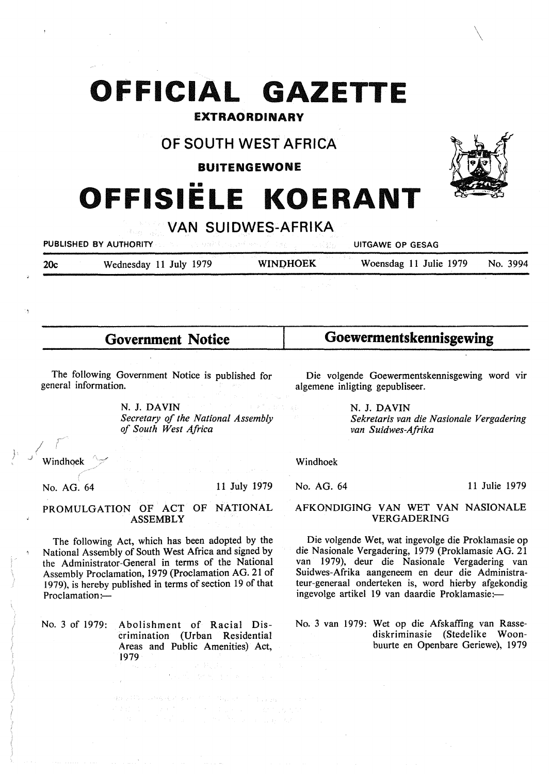# **OFFICIAL GAZETTE**

## **EXTRAORDINARY**

# **OF SOUTH WEST AFRICA**

### **BUITENGEWONE**

# •• **OFFISIELE KOERANT**



PUBLISHED BY AUTHORITY **UITGAWE OP GESAG** 

20c Wednesday 11 July 1979 **WINQHOEK** Woensdag 11 Julie 1979 No. 3994

11 Julie 1979

**Government Notice** 

**Goewermentskennisgewing** 

The following Government Notice is published for general information.

> N. J. **DAVIN**  *Secretary of the National Assembly of South West Africa*

Die volgende Goewermentskennisgewing word vir algemene inligting gepubliseer.

> N. J. **DAVIN**  *Sekretaris van die Nasionale Vergadering van Suidwes-Afrika*

Windhoek

No. AG. 64

## AFKONDIGING VAN WET VAN NASIONALE VERGADERING

Die volgende Wet, wat ingevolge die Proklamasie op die Nasionale Vergadering, 1979 (Proklamasie AG. 21 van 1979), deur die Nasionale Vergadering van Suidwes-Afrika aangeneem en deur die Administrateur-generaal onderteken is, word hierby afgekondig ingevolge artikel 19 van daardie Proklamasie:-

No. 3 van 1979: Wet op die Afskaffing van Rassediskriminasie (Stedelike Woonbuurte en Openbare Geriewe), 1979

### PROMULGATION OF ACT OF NATIONAL **ASSEMBLY**

The following Act, which has been adopted by the National Assembly of South West Africa and signed by the Administrator-General in terms of the National Assembly Proclamation, 1979 (Proclamation AG. 21 of 1979), is hereby published in terms of section 19 of that Proclamation:-

No. 3 of 1979: Abolishment of Racial Discrimination (Urban Residential Areas and Public Amenities) Act, 1979

Windhoek

No. AG. 64

11 July 1979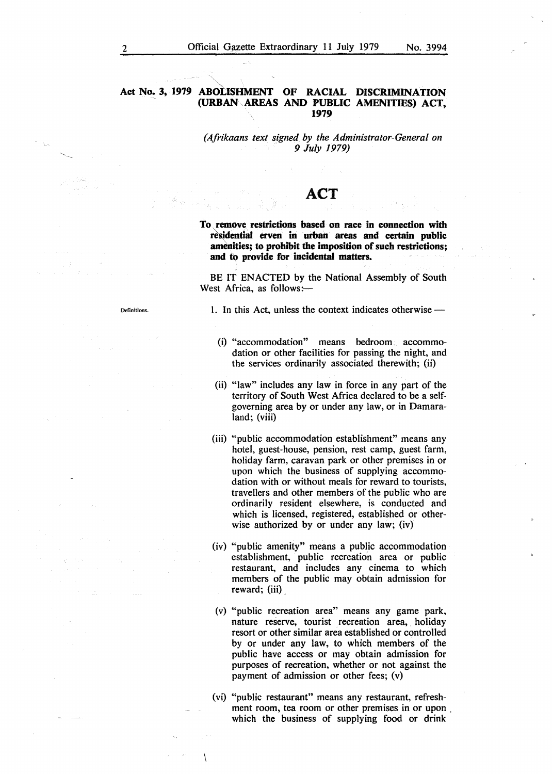*(Afrikaans text signed by the Administrator-General on* . *9 July 1979)* 

# **ACT**

**To, remove restrictions based on race in connection with**  residential erven in urban areas and certain public **amenities; to prohibit the imposition of such restrictions; and to provide for incidental matters.** 

BE IT ENACTED by the National Assembly of South West Africa, as follows:-

1. In this Act, unless the context indicates otherwise -

- (i) "accommodation" means bedroom accommodation or other facilities for passing the night, and the services ordinarily associated therewith; (ii)
- (ii) "law" includes any law in force in any part of the territory of South West Africa declared to be a selfgoverning area by or under any law, or in Damaraland; (viii)
- (iii) "public accommodation establishment" means any hotel, guest-house, pension, rest camp, guest farm, holiday farm, caravan park or other premises in or upon which the business of supplying accommodation with or without meals for reward to tourists, travellers and other members of the public who are ordinarily resident elsewhere, is conducted and which is licensed, registered, established or otherwise authorized by or under any law; (iv)
- (iv) "public amenity" means a public accommodation establishment, public recreation area or public restaurant, and includes any cinema to which members of the public may obtain admission for reward; (iii)
- (v) "public recreation area" means any game park, nature reserve, tourist recreation area, holiday resort or other similar area established or controlled by or under any law, to which members of the public have access or may obtain admission for purposes of recreation, whether or not against the payment of admission or other fees; (v)
- ( vi) "public restaurant" means any restaurant, refreshment room, tea room or other premises in or upon . which the business of supplying food or drink

**Definitions**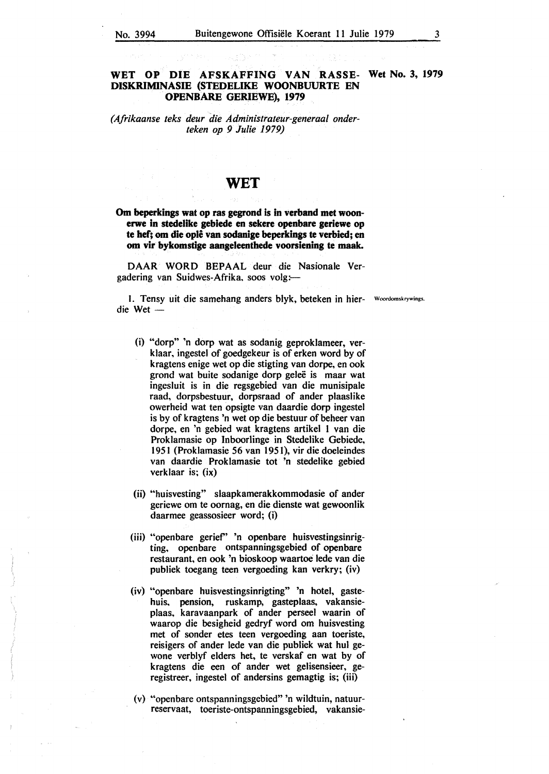#### **WET OP DIE AFSKAFFING VAN RASSE- Wet No. 3, 1979 DISKRIMINASIE (STEDELIKE WOONBUURTE EN OPENBARE GERIEWE), 1979**

#### *(Afrikaanse teks deur die Administrateur-generaal onderteken op 9 Julie 1979)*

## **WET**

**Om beperkings wat op ras gegrond is in verband met woonerwe in stedelike gebiede en sekere openbare geriewe op te hef; om die ople van sodanige beperkings te verbied; en om vir bykomstige aangeleenthede voorsiening te maak.** 

DAAR WORD BEPAAL deur die Nasionale Vergadering van Suidwes-Afrika, soos volg:-

1. Tensy uit die samehang anders blyk, beteken in hier- Woordomskrywings. die Wet -

- (i) "dorp" 'n dorp wat as sodanig geproklameer, verklaar, ingestel of goedgekeur is of erken word by of kragtens enige wet op die stigting van dorpe, en ook grond wat buite sodanige dorp gelee is maar wat ingesluit is in die regsgebied van die munisipale raad, dorpsbestuur, dorpsraad of ander plaaslike owerheid wat ten opsigte van daardie dorp ingestel is by of kragtens 'n wet op die bestuur of beheer van dorpe, en 'n gebied wat kragtens artikel 1 van die Proklamasie op lnboorlinge in Stedelike Gebiede, 1951 (Proklamasie 56 van 1951 ), vir die doeleindes van daardie Proklamasie tot 'n stedelike gebied verklaar is; (ix)
- (ii) "huisvesting" slaapkamerakkommodasie of ander geriewe om te oornag, en die dienste wat gewoonlik daarmee geassosieer word; (i)
- (iii) "openbare gerief' 'n openbare huisvestingsinrigting, openbare ontspanningsgebied of openbare restaurant, en ook 'n bioskoop waartoe Jede van die publiek toegang teen vergoeding kan verkry; (iv)
- (iv) "openbare huisvestingsinrigting" 'n hotel, gastehuis, pension, ruskamp, gasteplaas, vakansieplaas, karavaanpark of ander perseel waarin of waarop die besigheid gedryf word om huisvesting met of sonder etes teen vergoeding aan toeriste, reisigers of ander lede van die publiek wat hul gewone verblyf elders het, te verskaf en wat by of kragtens die een of ander wet gelisensieer, geregistreer, ingestel of andersins gemagtig is; (iii)
- (v) ••openbare ontspanningsgebied" 'n wildtuin, natuurreservaat, toeriste-ontspanningsgebied, vakansie-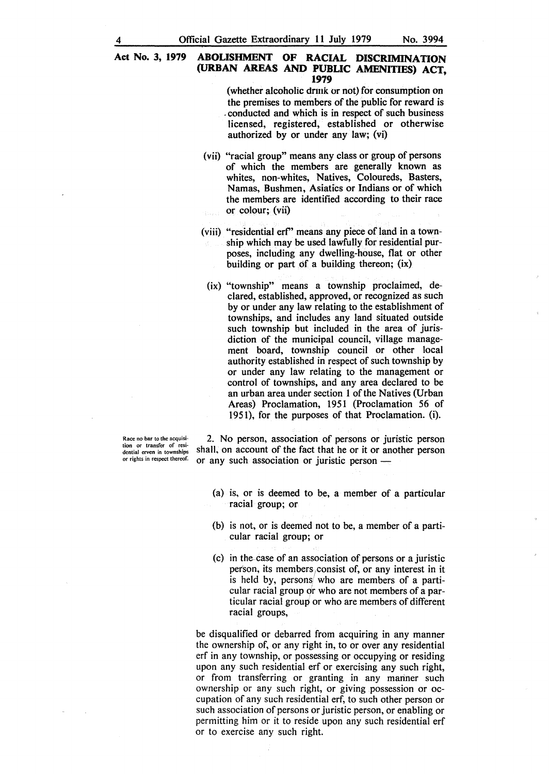(whether alcoholic drmk or not) for consumption on the premises to members of the public for reward is . conducted and which is in respect of such business licensed, registered, established or otherwise authorized by or under any law; (vi)

- (vii) "racial group" means any class or group of persons of which the members are generally known as whites, non-whites, Natives, Coloureds, Basters, Namas, Bushmen, Asiatics or Indians or of which the members are identified according to their race or colour; (vii)
- (viii) "residential erf' means any piece of land in a township which may be used lawfully for residential purposes, including any dwelling-house, flat or other building or part of a building thereon; (ix)
	- (ix) "township" means a township proclaimed, declared, established, approved, or recognized as such by or under any law relating to the establishment of townships, and includes any land situated outside such township but included in the area of jurisdiction of the municipal council, village management board, township council or other local authority established in respect of such township by or under any law relating to the management or control of townships, and any area declared to be an urban area under section 1 of the Natives (Urban Areas) Proclamation, 1951 (Proclamation 56 of 1951), for the purposes of that Proclamation. (i).

Race no bar to the acquisi**tion or transfer of resi-**dential erven in townships or rights in respect thereof.

2. No person, association of persons or juristic person shall, on account of the fact that he or it or another person or any such association or juristic person -

- (a) is, or is deemed to be, a member of a particular racial group; or
- (b) is not, or is deemed not to be, a member of a particular racial group; or
- ( c) in the case of an association of persons or a juristic person, its members ,consist of, or any interest in it is held by, persons who are members of a particular racial group or who are not members of a particular racial group or who are members of different racial groups,

be disqualified or debarred from acquiring in any manner the ownership of, or any right in, to or over any residential erf in any township, or possessing or occupying or residing upon any such residential erf or exercising any such right, or from transferring or granting in any manner such ownership or any such right, or giving possession or occupation of any such residential erf, to such other person or such association of persons or juristic person, or enabling or permitting him or it to reside upon any such residential erf or to exercise any such right.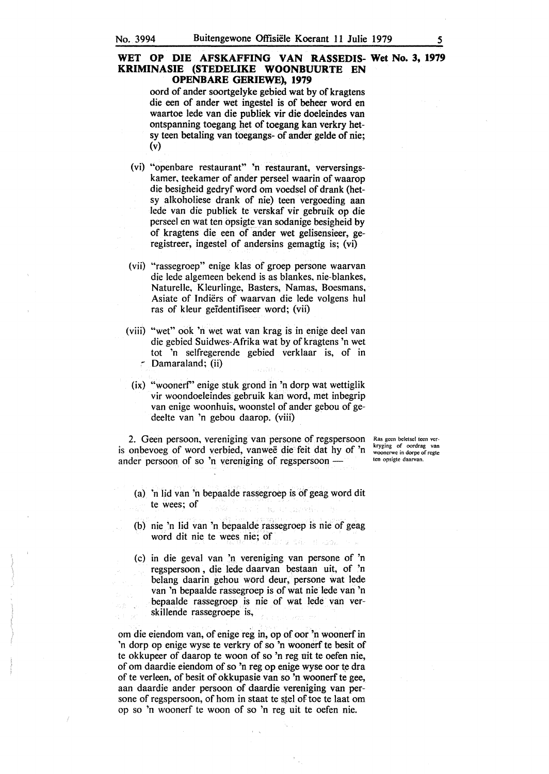#### **WET OP DIE AFSKAFFING VAN RASSEDIS- Wet No. 3, 1979 KRIMINASIE (STEDELIKE WOONBUURTE EN OPENBARE GERIEWE), 1979**

oord of ander soortgelyke gebied wat by of kragtens die een of ander wet ingestel is of beheer word en waartoe lede van die publiek vir die doeleindes van ontspanning toegang het of toegang kan verkry hetsy teen betaling van toegangs- of ander gelde of nie; (v)

- (vi) "openbare restaurant" 'n restaurant, verversingskamer, teekamer of ander perseel waarin of waarop die besigheid gedryf word om voedsel of drank (hetsy alkoholiese drank of nie) teen vergoeding aan lede van die publiek te verskaf vir gebruik op die perseel en wat ten opsigte van sodanige besigheid by of kragtens die een of ander wet gelisensieer, geregistreer, ingestel of andersins gemagtig is; (vi)
- (vii) "rassegroep" enige klas of groep persone waarvan die lede algemeen bekend is as blankes, nie-blankes, Naturelle, Kleurlinge, Basters, Namas, Boesmans, Asiate of Indiers of waarvan die lede volgens hul ras of kleur geidentifiseer word; (vii)
- (viii) ••wet" ook 'n wet wat van krag is in enige deel van die gebied Suidwes-Afrika wat by of kragtens 'n wet tot 'n selfregerende gebied verklaar is, of in , Damaraland; (ii)
	- (ix) "woonerf' enige stuk grond in 'n dorp wat wettiglik vir woondoeleindes gebruik kan word, met inbegrip van enige woonhuis, woonstel of ander gebou of gedeelte van 'n gebou daarop. (viii)

2. Geen persoon, vereniging van persone of regspersoon is onbevoeg of word verbied, vanwee die feit dat hy of 'n ander persoon of so 'n vereniging of regspersoon -

Ras geen beletsel teen verkryging of oordrag van woonerwe in dorpe of regte ten opsigte daarvan.

- (a) 'n lid van 'n bepaalde rassegroep is of geag word dit te wees; of
- {b) nie 'n lid van 'n bepaalde rassegroep is nie of geag word dit nie te wees nie; of
- (c) in die geval van 'n vereniging van persone of 'n regspersoon , die lede daarvan bestaan uit, of 'n belang daarin gehou word deur, persone wat lede van 'n bepaalde rassegroep is of wat nie lede van 'n bepaalde rassegroep is nie of wat lede van verskillende rassegroepe is,

om die eiendom van, of enige reg in, op of oor 'n woonerf in 'n dorp op enige wyse te verkry of so 'n woonerf te besit of te okkupeer of daarop te woon of so 'n reg uit te oefen nie, of om daardie eiendom of so 'n reg op enige wyse oor te dra of te verleen, of besit of okkupasie van so 'n woonerf te gee, aan daardie ander persoon of daardie vereniging van persone of regspersoon, of horn in staat te stel of toe te laat om op so 'n woonerf te woon of so 'n reg uit te oefen nie.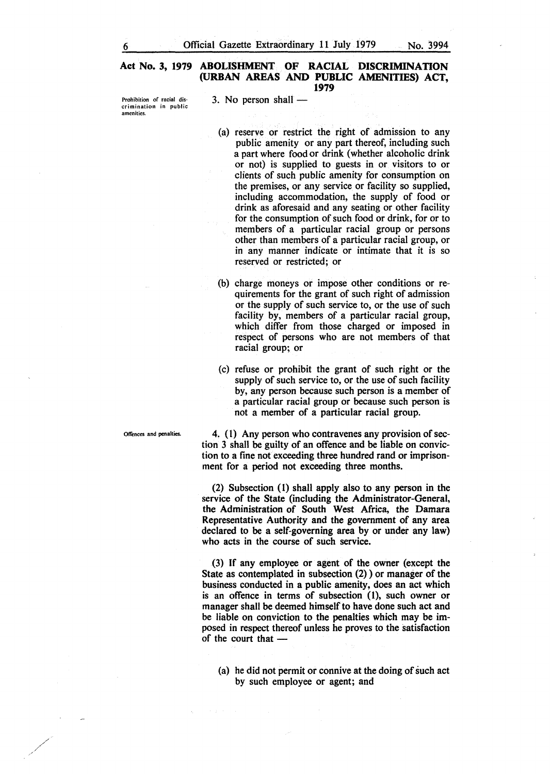Prohibition of racial discrimination in public amenities.

 $3.$  No person shall  $-$ 

- (a) reserve or restrict the right of admission to any public amenity or any part thereof, including such a part where food or drink (whether alcoholic drink or not) is supplied to guests in or visitors to or clients of such public amenity for consumption on the premises, or any service or facility so supplied, including accommodation, the supply of food or drink as aforesaid and any seating or other facility for the consumption of such food or drink, for or to members of a particular racial group or persons other than members of a particular racial group, or in any manner indicate or intimate that it is so reserved or restricted; or
- (b) charge moneys or impose other conditions or requirements for the grant of such right of admission or the supply of such service to, or the use of such facility by, members of a particular racial group, which differ from those charged or imposed in respect of persons who are not members of that racial group; or
- (c) refuse or prohibit the grant of such right or the supply of such service to, or the use of such facility by, any person because such person is a member of a particular racial group or because such person is not a member of a particular racial group.

4. (1) Any person who contravenes any provision of section 3 shall be guilty of an offence and be liable on conviction to a fine not exceeding three hundred rand or imprisonment for a period not exceeding three months.

(2) Subsection (1) shall apply also to any person in the service of the State (including the Administrator-General, the Administration of South West Africa, the Damara Representative Authority and the government of any area declared to be a self-governing area by or under any law) who acts in the course of such service.

(3) If any employee or agent of the owner (except the State as contemplated in subsection (2) ) or manager of the business conducted in a public amenity, does an act which is an offence in terms of subsection (1), such owner or manager shall be deemed himself to have done such act and be liable on conviction to the penalties which may be imposed in respect thereof unless he proves to the satisfaction of the court that  $-$ 

(a) he did not permit or connive at the doing of such act by such employee or agent; and

Offences and penalties.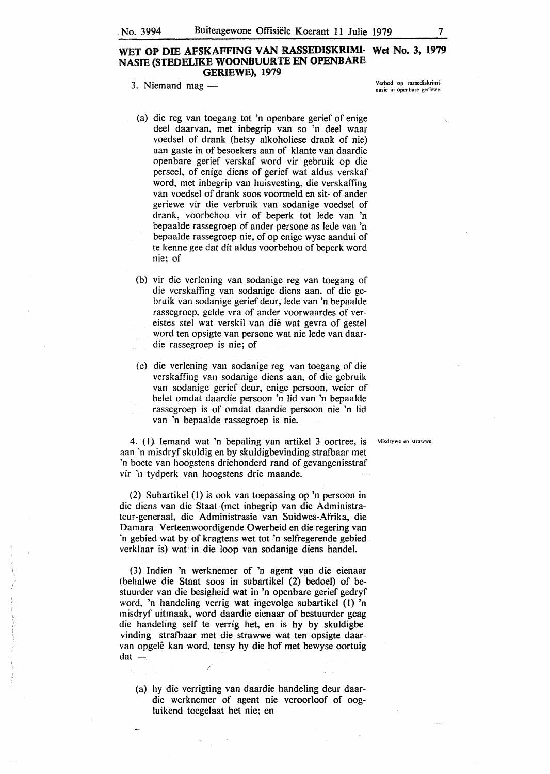#### **WET OP DIB AFSKAFFING VAN RASSEDISKRIMI- Wet No. 3, 1979 NASIE (STEDELIKE WOONBUURTE EN OPENBARE GERIEWE), 1979**

- 3. Niemand mag  $-$ 
	- (a) die reg van toegang tot 'n openbare gerief of enige dee! daarvan, met inbegrip van so 'n deel waar voedsel of drank (hetsy alkoholiese drank of nie) aan gaste in of besoekers aan of klante van daardie openbare gerief verskaf word vir gebruik op die perseel, of enige diens of gerief wat aldus verskaf word, met inbegrip van huisvesting, die verskaffing van voedsel of drank soos voormeld en sit- of ander geriewe vir die verbruik van sodanige voedsel of drank, voorbehou vir of beperk tot lede van 'n bepaalde rassegroep of ander persone as lede van 'n bepaalde rassegroep nie, of op enige wyse aandui of te kenne gee dat dit aldus voorbehou of beperk word nie; of
- (b) vir die verlening van sodanige reg van toegang of die verskaffing van sodanige diens aan, of die gebruik van sodanige gerief deur, lede van 'n bepaalde rassegroep, gelde vra of ander voorwaardes of vereistes stel wat verskil van die wat gevra of gestel word ten opsigte van persone wat nie lede van daardie rassegroep is nie; of
- (c) die verlening van sodanige reg van toegang of die verskaffing van sodanige diens aan, of die gebruik van sodanige gerief deur, enige persoon, weier of belet omdat daardie persoon 'n lid van 'n bepaalde rassegroep is of omdat daardie persoon nie 'n lid van 'n bepaalde rassegroep is nie.

4. ( l) Iemand wat 'n bepaling van artikel 3 oortree, is Misdrywe en strawwe. aan 'n misdryf skuldig en by skuldigbevinding strafbaar met 'n boete van hoogstens driehonderd rand of gevangenisstraf vir 'n tydperk van hoogstens drie maande.

(2) Subartikel (1) is ook van toepassing op 'n persoon in die diens van die Staat (met inbegrip van die Administrateur-generaal, die Administrasie van Suidwes-Afrika, die Damara- Verteenwoordigende Owerheid en die regering van 'n gebied wat by of kragtens wet tot 'n selfregerende gebied verklaar is) wat in die loop van sodanige diens handel.

(3) Indien 'n werknemer of 'n agent van die eienaar (behalwe die Staat soos in subartikel (2) bedoel) of bestuurder van die besigheid wat in 'n openbare gerief gedryf word, 'n handeling verrig wat ingevolge subartikel (1) 'n misdryf uitmaak, word daardie eienaar of bestuurder geag die handeling self te verrig het, en is hy by skuldigbevinding strafbaar met die strawwe wat ten opsigte daarvan opgele kan word, tensy hy die hof met bewyse oortuig  $dat -$ 

/

(a) hy die verrigting van daardie handeling deur daardie werknemer of agent nie veroorloof of oogluikend toegelaat het nie; en

Verbod op rassediskriminasie in openbare geriewe.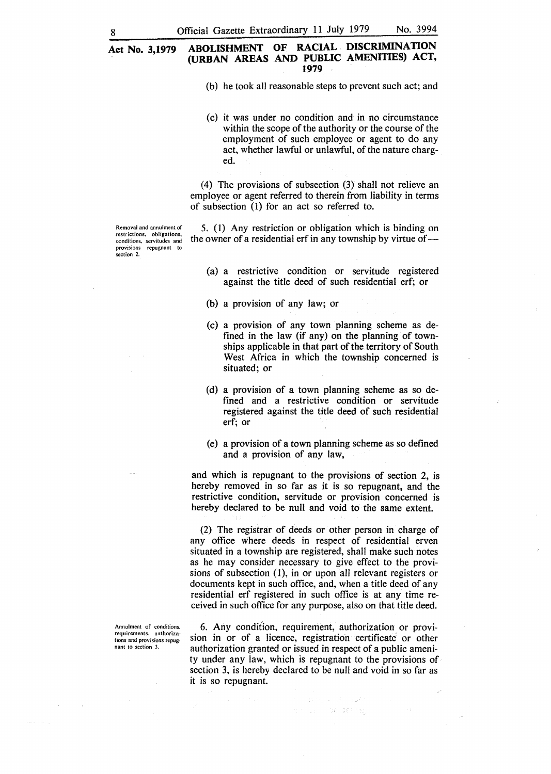(b) he took all reasonable steps to prevent such act; and

(c) it was under no condition and in no circumstance within the scope of the authority or the course of the employment of such employee or agent to do any act, whether lawful or unlawful, of the nature charged.

(4) The provisions of subsection (3) shall not relieve an employee or agent referred to therein from liability in terms of subsection (1) for an act so referred to.

Removal and annulment of **restrictions, obligations, conditions, servitudes and provisions repugnant to**  section 2.

5. (1) Any restriction or obligation which is binding on the owner of a residential erf in any township by virtue of  $-$ 

- (a) a restrictive condition or servitude registered against the title deed of such residential erf; or
- (b) a provision of any law; or
- (c) a provision of any town planning scheme as defined in the law (if any) on the planning of townships applicable in that part of the territory of South West Africa in which the township concerned is situated; or
- (d) a provision of a town planning scheme as so defined and a restrictive condition or servitude registered against the title deed of such residential erf; or
- (e) a provision of a town planning scheme as so defined and a provision of any law,

and which is repugnant to the provisions of section 2, is hereby removed in so far as it is so repugnant, and the restrictive condition, servitude or provision concerned is hereby declared to be null and void to the same extent.

(2) The registrar of deeds or other person in charge of any office where deeds in respect of residential erven situated in a township are registered, shall make such notes as he may consider necessary to give effect to the provisions of subsection  $(1)$ , in or upon all relevant registers or documents kept in such office, and, when a title deed of any residential erf registered in such office is at any time received in such office for any purpose, also on that title deed.

6. Any condition, requirement, authorization or provision in or of a licence, registration certificate or other authorization granted or issued in respect of a public amenity under any law, which is repugnant to the provisions of section 3, is hereby declared to be null and void in so far as it is so repugnant.

041-347-150

**Annulment of conditions, requirements. authorizations and provisions repugnant to section 3.**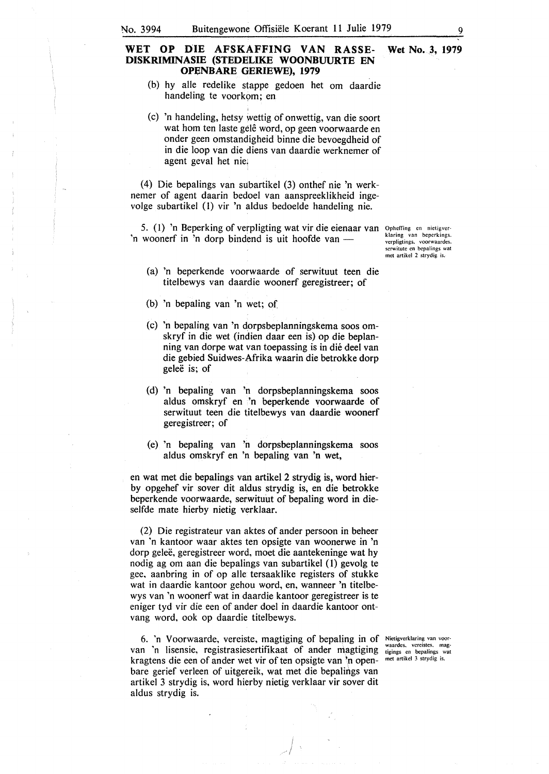#### WET OP DIE AFSKAFFING VAN RASSE- Wet No. 3, 1979 **DISKR1MINASIE (STEDELIKE WOONBUURTE EN OPENBARE GERIEWE), 1979**

(b) hy alle redelike stappe gedoen het om daardie handeling te voorkom; en

I

(c) 'n handeling, hetsy wettig of onwettig, van die soort wat hom ten laste gelê word, op geen voorwaarde en onder geen omstandigheid binne die bevoegdheid of in die loop van die diens van daardie werknemer of agent geval het nie,

(4) Die bepalings van subartikel (3) onthef nie 'n werknemer of agent daarin bedoel van aanspreeklikheid ingevolge subartikel (1) vir 'n aldus bedoelde handeling nie.

5. (1) 'n Beperking of verpligting wat vir die eienaar van 'n woonerf in 'n dorp bindend is uit hoofde van -

Opheffing en nietigver· klaring van beperkings. verpligtings. voorwaardes. serwitute en bepalings wat met artikel 2 strydig is.

- (a) 'n beperkende voorwaarde of serwituut teen die titelbewys van daardie woonerf geregistreer; of
- (b) 'n bepaling van 'n wet; of
- (c) 'n bepaling van 'n dorpsbeplanningskema soos omskryf in die wet (indien daar een is) op die beplanning van dorpe wat van toepassing is in dié deel van die gebied Suidwes-Afrika waarin die betrokke dorp gelee is; of
- (d) 'n bepaling van 'n dorpsbeplanningskema soos aldus omskryf en 'n beperkende voorwaarde of serwituut teen die titelbewys van daardie woonerf geregistreer; of
- (e) 'n bepaling van 'n dorpsbeplanningskema soos aldus omskryf en 'n bepaling van 'n wet,

en wat met die bepalings van artikel 2 strydig is, word bierby opgehef vir sover dit aldus strydig is, en die betrokke beperkende voorwaarde, serwituut of bepaling word in dieselfde mate hierby nietig verklaar.

(2) Die registrateur van aktes of ander persoon in beheer van 'n kantoor waar aktes ten opsigte van woonerwe in 'n dorp geleë, geregistreer word, moet die aantekeninge wat hy nodig ag om aan die bepalings van subartikel (1) gevolg te gee, aanbring in of op alle tersaaklike registers of stukke wat in daardie kantoor gehou word, en, wanneer 'n titelbewys van 'n woonerf wat in daardie kantoor geregistreer is te eniger tyd vir die een of ander doel in daardie kantoor ontvang word, ook op daardie titelbewys.

6. 'n Voorwaarde, vereiste, magtiging of bepaling in of Nictigverklaring van voorvan 'n lisensie, registrasiesertifikaat of ander magtiging waardes, vereistes, magkragtens die een of ander wet vir of ten opsigte van 'n openbare gerief verleen of uitgereik, wat met die bepalings van artikel 3 strydig is, word hierby nietig verklaar vir sover dit aldus strydig is.

> t *I*

met artikel 3 strydig is.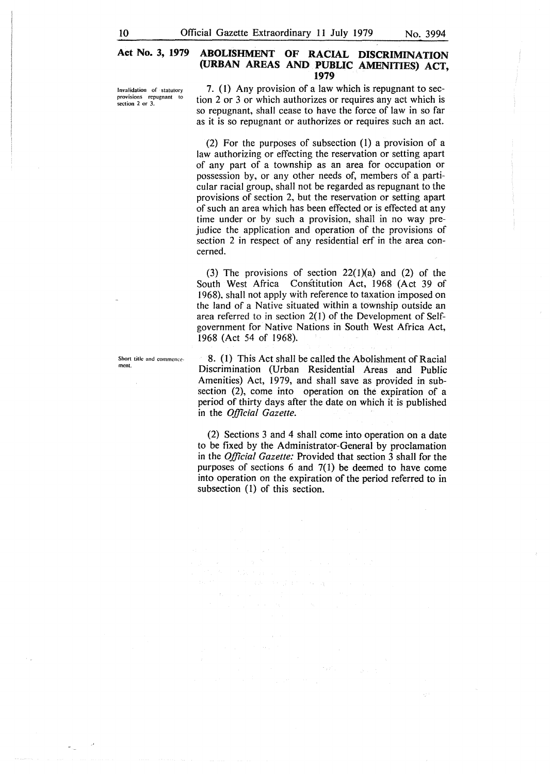Invalidation of statutory provisions repugnant to section 2 or 3.

Short title and commence

ment.

7. (1) Any provision of a law which is repugnant to section 2 or 3 or which authorizes or requires any act which is so repugnant, shall cease to have the force of law in so far as it is so repugnant or authorizes or requires such an act.

(2) For the purposes of subsection (l) a provision of a law authorizing or effecting the reservation or setting apart of any part of a township as an area for occupation or possession by, or any other needs of, members of a particular racial group, shall not be regarded as repugnant to the provisions of section 2, but the reservation or setting apart of such an area which has been effected or is effected at any time under or by such a provision, shall in no way prejudice the application and operation of the provisions of section 2 in respect of any residential erf in the area concerned.

(3) The provisions of section  $22(1)(a)$  and (2) of the South West Africa Constitution Act, 1968 (Act 39 of 1968), shall not apply with reference to taxation imposed on the land of a Native situated within a township outside an area referred to in section  $2(1)$  of the Development of Selfgovernment for Native Nations in South West Africa Act, 1968 (Act 54 of 1968).

8. (l) This Act shall be called the Abolishment of Racial Discrimination (Urban Residential Areas and Public Amenities) Act, 1979, and shall save as provided in subsection (2), come into operation on the expiration of a period of thirty days after the date on which it is published in the *Official Gazette.* 

(2) Sections 3 and 4 shall come into operation on a date to be fixed by the Administrator-General by proclamation in the *Official Gazette:* Provided that section 3 shall for the purposes of sections  $6$  and  $7(1)$  be deemed to have come into operation on the expiration of the period referred to in subsection (1) of this section.